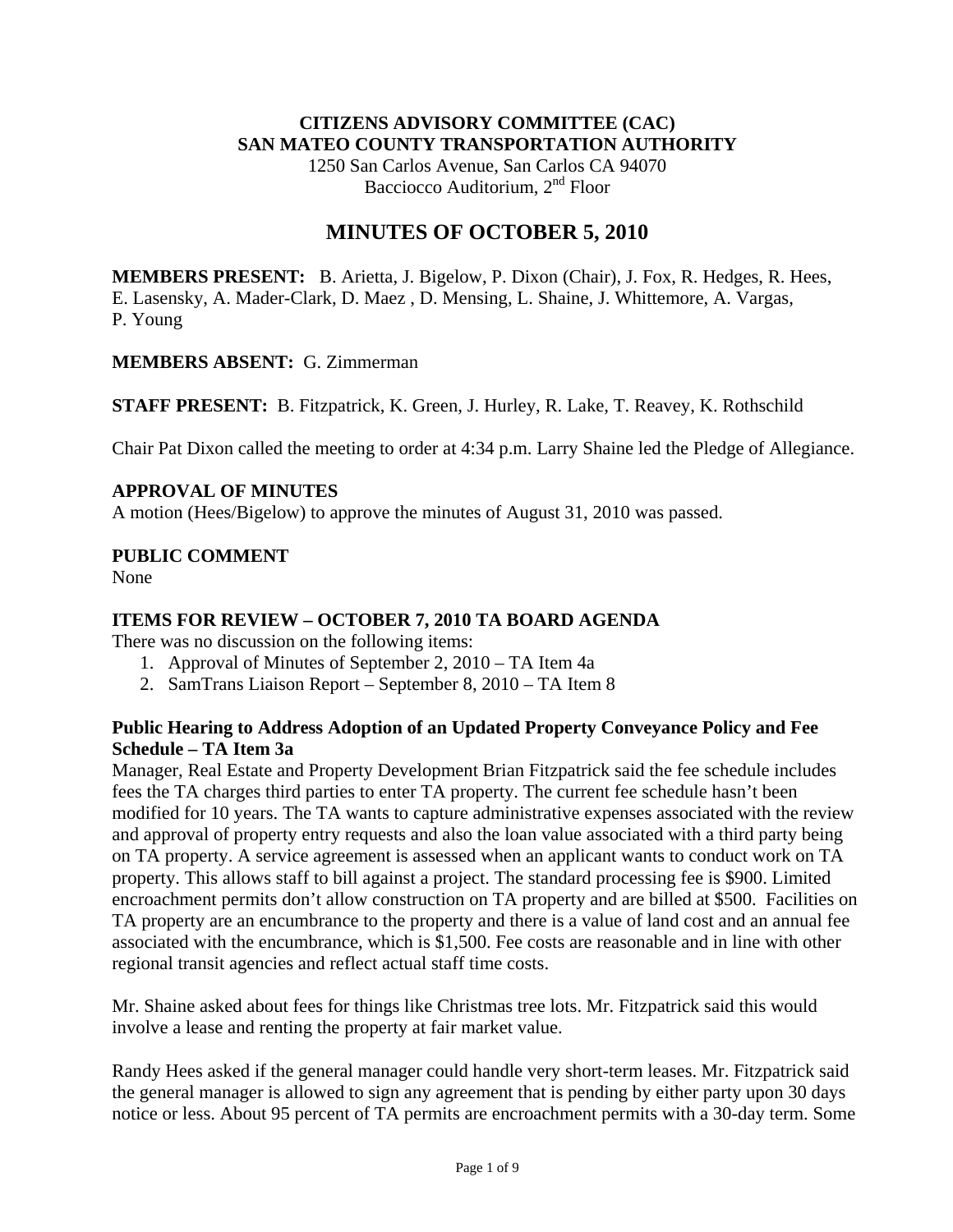# **CITIZENS ADVISORY COMMITTEE (CAC) SAN MATEO COUNTY TRANSPORTATION AUTHORITY**

1250 San Carlos Avenue, San Carlos CA 94070 Bacciocco Auditorium, 2<sup>nd</sup> Floor

# **MINUTES OF OCTOBER 5, 2010**

**MEMBERS PRESENT:** B. Arietta, J. Bigelow, P. Dixon (Chair), J. Fox, R. Hedges, R. Hees, E. Lasensky, A. Mader-Clark, D. Maez , D. Mensing, L. Shaine, J. Whittemore, A. Vargas, P. Young

#### **MEMBERS ABSENT:** G. Zimmerman

**STAFF PRESENT:** B. Fitzpatrick, K. Green, J. Hurley, R. Lake, T. Reavey, K. Rothschild

Chair Pat Dixon called the meeting to order at 4:34 p.m. Larry Shaine led the Pledge of Allegiance.

# **APPROVAL OF MINUTES**

A motion (Hees/Bigelow) to approve the minutes of August 31, 2010 was passed.

# **PUBLIC COMMENT**

None

# **ITEMS FOR REVIEW – OCTOBER 7, 2010 TA BOARD AGENDA**

There was no discussion on the following items:

- 1. Approval of Minutes of September 2, 2010 TA Item 4a
- 2. SamTrans Liaison Report September 8, 2010 TA Item 8

# **Public Hearing to Address Adoption of an Updated Property Conveyance Policy and Fee Schedule – TA Item 3a**

Manager, Real Estate and Property Development Brian Fitzpatrick said the fee schedule includes fees the TA charges third parties to enter TA property. The current fee schedule hasn't been modified for 10 years. The TA wants to capture administrative expenses associated with the review and approval of property entry requests and also the loan value associated with a third party being on TA property. A service agreement is assessed when an applicant wants to conduct work on TA property. This allows staff to bill against a project. The standard processing fee is \$900. Limited encroachment permits don't allow construction on TA property and are billed at \$500. Facilities on TA property are an encumbrance to the property and there is a value of land cost and an annual fee associated with the encumbrance, which is \$1,500. Fee costs are reasonable and in line with other regional transit agencies and reflect actual staff time costs.

Mr. Shaine asked about fees for things like Christmas tree lots. Mr. Fitzpatrick said this would involve a lease and renting the property at fair market value.

Randy Hees asked if the general manager could handle very short-term leases. Mr. Fitzpatrick said the general manager is allowed to sign any agreement that is pending by either party upon 30 days notice or less. About 95 percent of TA permits are encroachment permits with a 30-day term. Some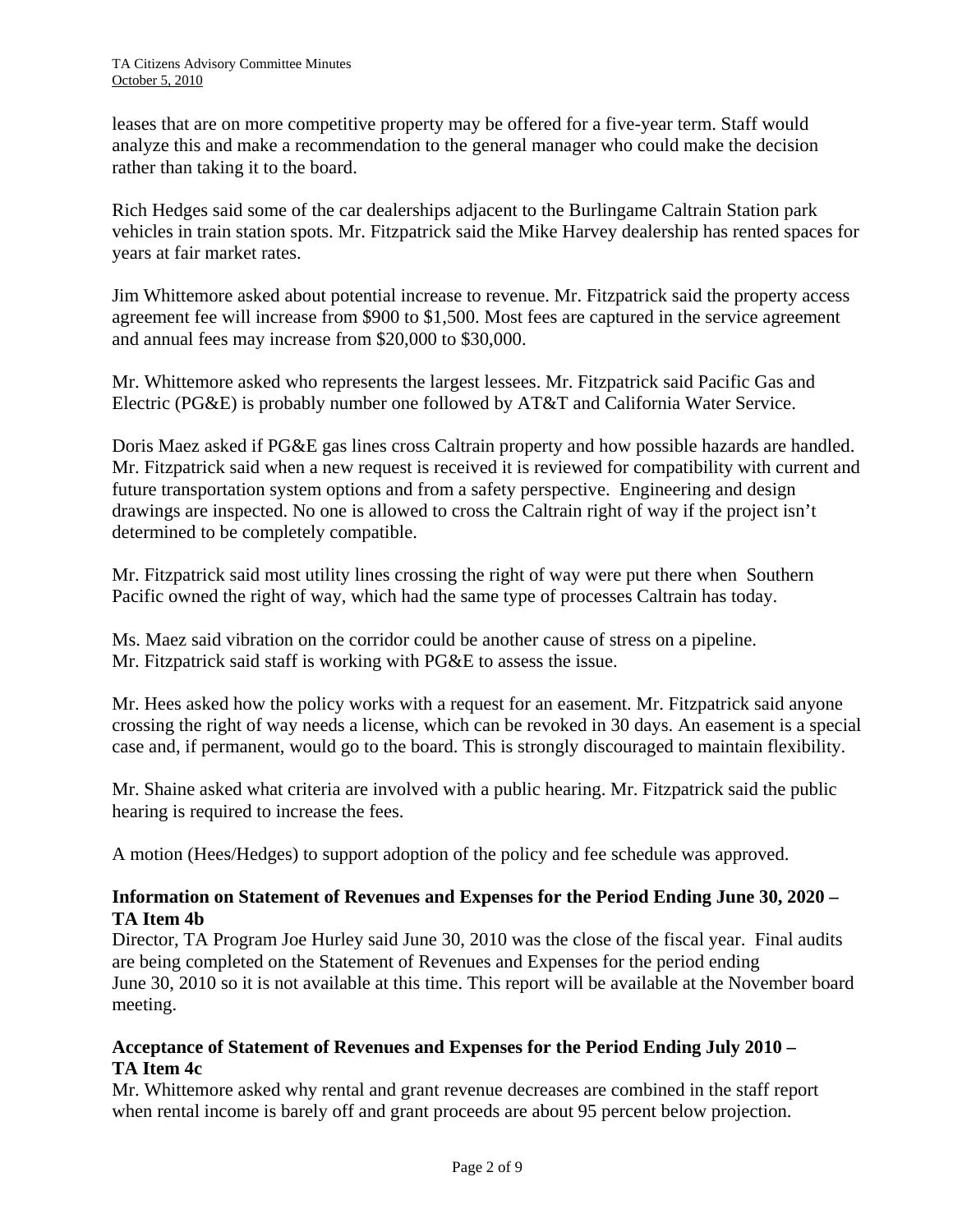leases that are on more competitive property may be offered for a five-year term. Staff would analyze this and make a recommendation to the general manager who could make the decision rather than taking it to the board.

Rich Hedges said some of the car dealerships adjacent to the Burlingame Caltrain Station park vehicles in train station spots. Mr. Fitzpatrick said the Mike Harvey dealership has rented spaces for years at fair market rates.

Jim Whittemore asked about potential increase to revenue. Mr. Fitzpatrick said the property access agreement fee will increase from \$900 to \$1,500. Most fees are captured in the service agreement and annual fees may increase from \$20,000 to \$30,000.

Mr. Whittemore asked who represents the largest lessees. Mr. Fitzpatrick said Pacific Gas and Electric (PG&E) is probably number one followed by AT&T and California Water Service.

Doris Maez asked if PG&E gas lines cross Caltrain property and how possible hazards are handled. Mr. Fitzpatrick said when a new request is received it is reviewed for compatibility with current and future transportation system options and from a safety perspective. Engineering and design drawings are inspected. No one is allowed to cross the Caltrain right of way if the project isn't determined to be completely compatible.

Mr. Fitzpatrick said most utility lines crossing the right of way were put there when Southern Pacific owned the right of way, which had the same type of processes Caltrain has today.

Ms. Maez said vibration on the corridor could be another cause of stress on a pipeline. Mr. Fitzpatrick said staff is working with PG&E to assess the issue.

Mr. Hees asked how the policy works with a request for an easement. Mr. Fitzpatrick said anyone crossing the right of way needs a license, which can be revoked in 30 days. An easement is a special case and, if permanent, would go to the board. This is strongly discouraged to maintain flexibility.

Mr. Shaine asked what criteria are involved with a public hearing. Mr. Fitzpatrick said the public hearing is required to increase the fees.

A motion (Hees/Hedges) to support adoption of the policy and fee schedule was approved.

# **Information on Statement of Revenues and Expenses for the Period Ending June 30, 2020 – TA Item 4b**

Director, TA Program Joe Hurley said June 30, 2010 was the close of the fiscal year. Final audits are being completed on the Statement of Revenues and Expenses for the period ending June 30, 2010 so it is not available at this time. This report will be available at the November board meeting.

# **Acceptance of Statement of Revenues and Expenses for the Period Ending July 2010 – TA Item 4c**

Mr. Whittemore asked why rental and grant revenue decreases are combined in the staff report when rental income is barely off and grant proceeds are about 95 percent below projection.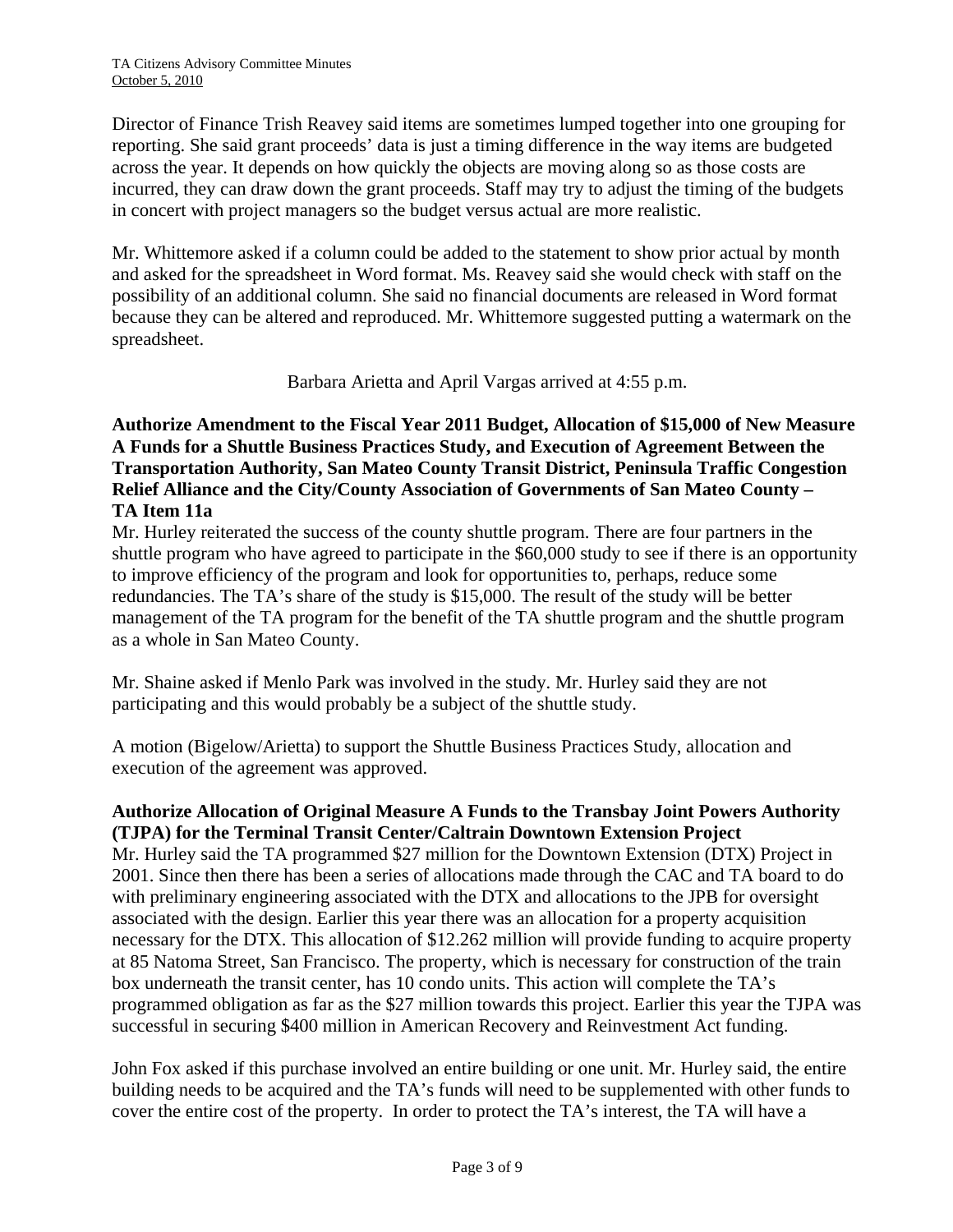Director of Finance Trish Reavey said items are sometimes lumped together into one grouping for reporting. She said grant proceeds' data is just a timing difference in the way items are budgeted across the year. It depends on how quickly the objects are moving along so as those costs are incurred, they can draw down the grant proceeds. Staff may try to adjust the timing of the budgets in concert with project managers so the budget versus actual are more realistic.

Mr. Whittemore asked if a column could be added to the statement to show prior actual by month and asked for the spreadsheet in Word format. Ms. Reavey said she would check with staff on the possibility of an additional column. She said no financial documents are released in Word format because they can be altered and reproduced. Mr. Whittemore suggested putting a watermark on the spreadsheet.

Barbara Arietta and April Vargas arrived at 4:55 p.m.

# **Authorize Amendment to the Fiscal Year 2011 Budget, Allocation of \$15,000 of New Measure A Funds for a Shuttle Business Practices Study, and Execution of Agreement Between the Transportation Authority, San Mateo County Transit District, Peninsula Traffic Congestion Relief Alliance and the City/County Association of Governments of San Mateo County – TA Item 11a**

Mr. Hurley reiterated the success of the county shuttle program. There are four partners in the shuttle program who have agreed to participate in the \$60,000 study to see if there is an opportunity to improve efficiency of the program and look for opportunities to, perhaps, reduce some redundancies. The TA's share of the study is \$15,000. The result of the study will be better management of the TA program for the benefit of the TA shuttle program and the shuttle program as a whole in San Mateo County.

Mr. Shaine asked if Menlo Park was involved in the study. Mr. Hurley said they are not participating and this would probably be a subject of the shuttle study.

A motion (Bigelow/Arietta) to support the Shuttle Business Practices Study, allocation and execution of the agreement was approved.

# **Authorize Allocation of Original Measure A Funds to the Transbay Joint Powers Authority (TJPA) for the Terminal Transit Center/Caltrain Downtown Extension Project**

Mr. Hurley said the TA programmed \$27 million for the Downtown Extension (DTX) Project in 2001. Since then there has been a series of allocations made through the CAC and TA board to do with preliminary engineering associated with the DTX and allocations to the JPB for oversight associated with the design. Earlier this year there was an allocation for a property acquisition necessary for the DTX. This allocation of \$12.262 million will provide funding to acquire property at 85 Natoma Street, San Francisco. The property, which is necessary for construction of the train box underneath the transit center, has 10 condo units. This action will complete the TA's programmed obligation as far as the \$27 million towards this project. Earlier this year the TJPA was successful in securing \$400 million in American Recovery and Reinvestment Act funding.

John Fox asked if this purchase involved an entire building or one unit. Mr. Hurley said, the entire building needs to be acquired and the TA's funds will need to be supplemented with other funds to cover the entire cost of the property. In order to protect the TA's interest, the TA will have a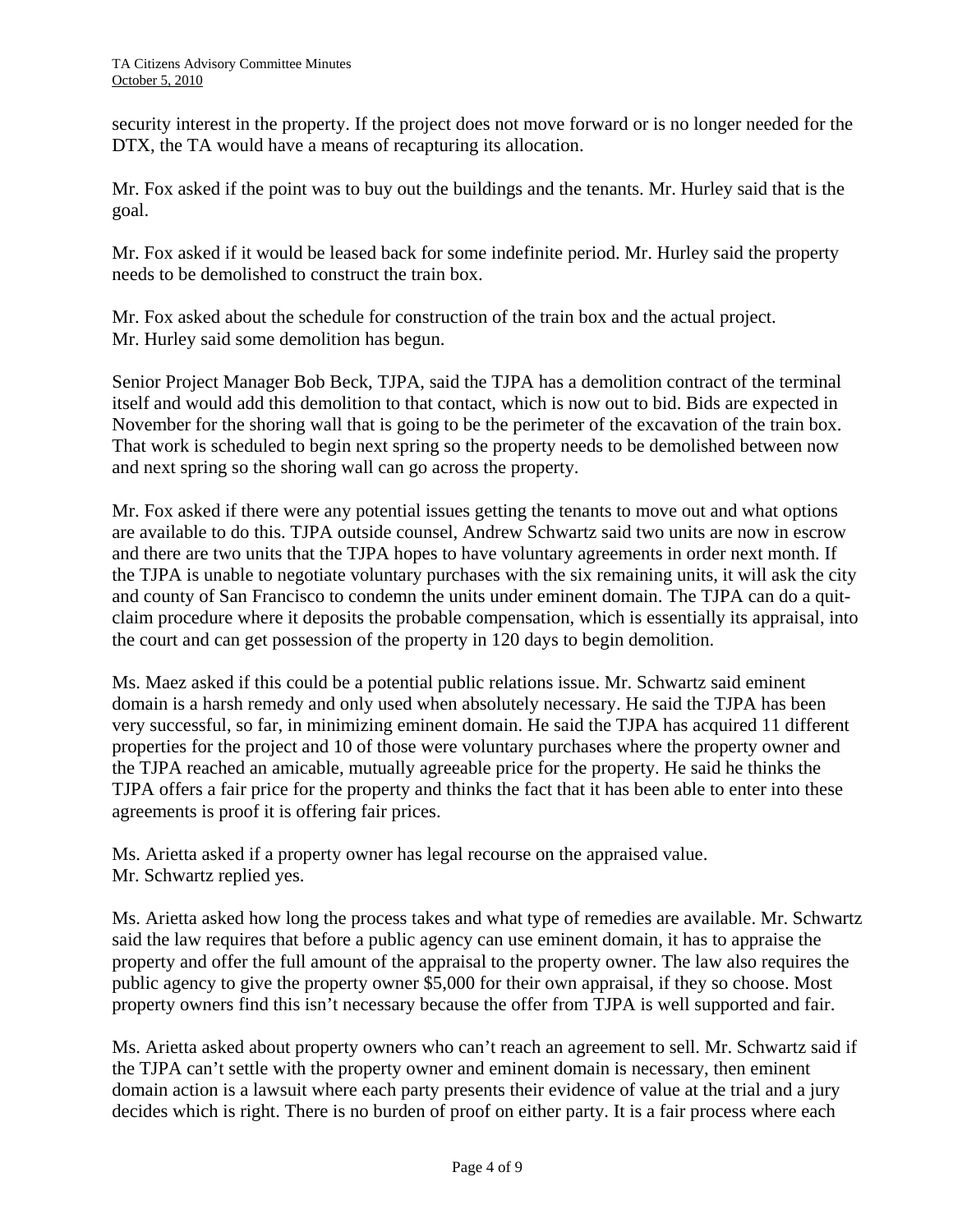security interest in the property. If the project does not move forward or is no longer needed for the DTX, the TA would have a means of recapturing its allocation.

Mr. Fox asked if the point was to buy out the buildings and the tenants. Mr. Hurley said that is the goal.

Mr. Fox asked if it would be leased back for some indefinite period. Mr. Hurley said the property needs to be demolished to construct the train box.

Mr. Fox asked about the schedule for construction of the train box and the actual project. Mr. Hurley said some demolition has begun.

Senior Project Manager Bob Beck, TJPA, said the TJPA has a demolition contract of the terminal itself and would add this demolition to that contact, which is now out to bid. Bids are expected in November for the shoring wall that is going to be the perimeter of the excavation of the train box. That work is scheduled to begin next spring so the property needs to be demolished between now and next spring so the shoring wall can go across the property.

Mr. Fox asked if there were any potential issues getting the tenants to move out and what options are available to do this. TJPA outside counsel, Andrew Schwartz said two units are now in escrow and there are two units that the TJPA hopes to have voluntary agreements in order next month. If the TJPA is unable to negotiate voluntary purchases with the six remaining units, it will ask the city and county of San Francisco to condemn the units under eminent domain. The TJPA can do a quitclaim procedure where it deposits the probable compensation, which is essentially its appraisal, into the court and can get possession of the property in 120 days to begin demolition.

Ms. Maez asked if this could be a potential public relations issue. Mr. Schwartz said eminent domain is a harsh remedy and only used when absolutely necessary. He said the TJPA has been very successful, so far, in minimizing eminent domain. He said the TJPA has acquired 11 different properties for the project and 10 of those were voluntary purchases where the property owner and the TJPA reached an amicable, mutually agreeable price for the property. He said he thinks the TJPA offers a fair price for the property and thinks the fact that it has been able to enter into these agreements is proof it is offering fair prices.

Ms. Arietta asked if a property owner has legal recourse on the appraised value. Mr. Schwartz replied yes.

Ms. Arietta asked how long the process takes and what type of remedies are available. Mr. Schwartz said the law requires that before a public agency can use eminent domain, it has to appraise the property and offer the full amount of the appraisal to the property owner. The law also requires the public agency to give the property owner \$5,000 for their own appraisal, if they so choose. Most property owners find this isn't necessary because the offer from TJPA is well supported and fair.

Ms. Arietta asked about property owners who can't reach an agreement to sell. Mr. Schwartz said if the TJPA can't settle with the property owner and eminent domain is necessary, then eminent domain action is a lawsuit where each party presents their evidence of value at the trial and a jury decides which is right. There is no burden of proof on either party. It is a fair process where each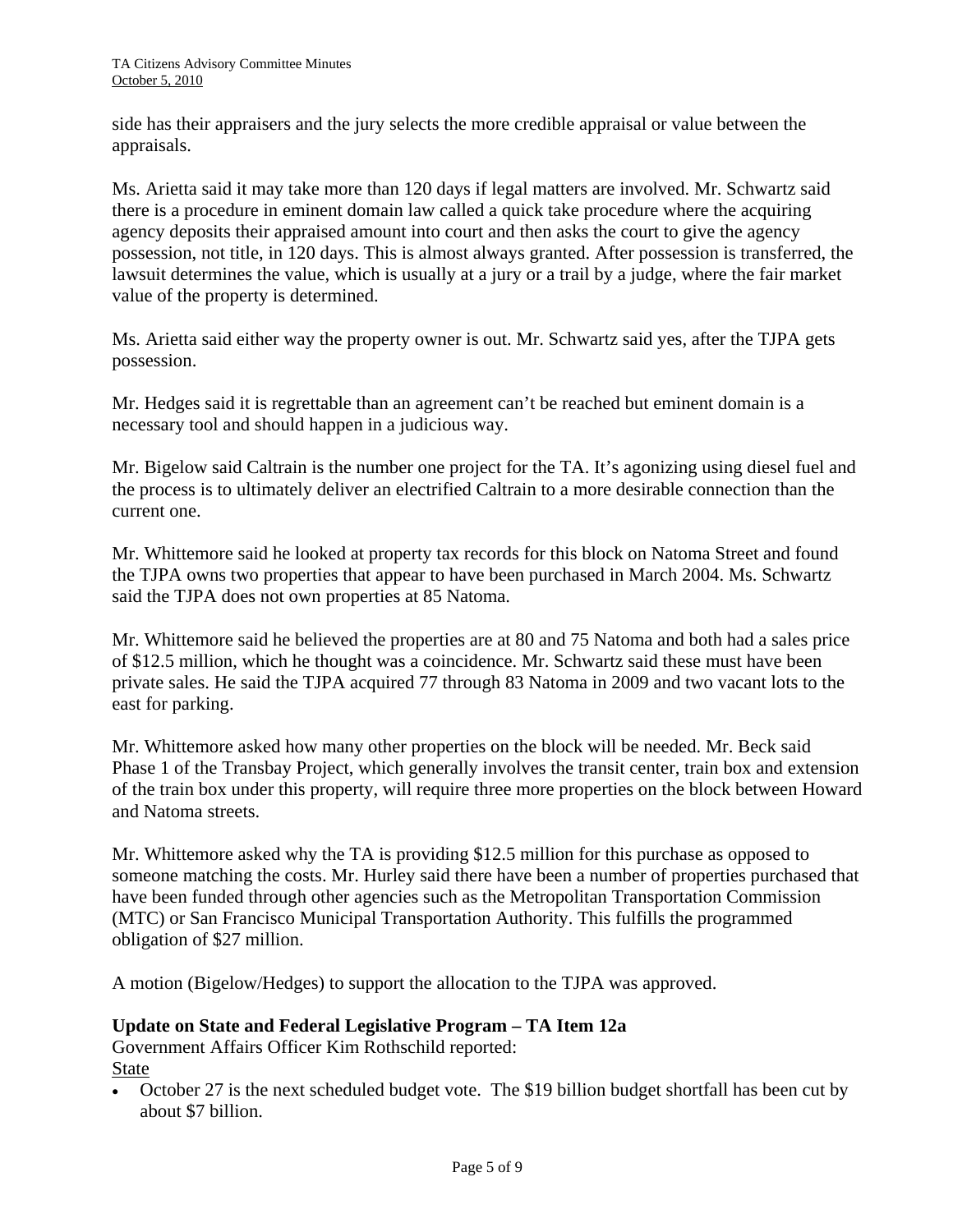side has their appraisers and the jury selects the more credible appraisal or value between the appraisals.

Ms. Arietta said it may take more than 120 days if legal matters are involved. Mr. Schwartz said there is a procedure in eminent domain law called a quick take procedure where the acquiring agency deposits their appraised amount into court and then asks the court to give the agency possession, not title, in 120 days. This is almost always granted. After possession is transferred, the lawsuit determines the value, which is usually at a jury or a trail by a judge, where the fair market value of the property is determined.

Ms. Arietta said either way the property owner is out. Mr. Schwartz said yes, after the TJPA gets possession.

Mr. Hedges said it is regrettable than an agreement can't be reached but eminent domain is a necessary tool and should happen in a judicious way.

Mr. Bigelow said Caltrain is the number one project for the TA. It's agonizing using diesel fuel and the process is to ultimately deliver an electrified Caltrain to a more desirable connection than the current one.

Mr. Whittemore said he looked at property tax records for this block on Natoma Street and found the TJPA owns two properties that appear to have been purchased in March 2004. Ms. Schwartz said the TJPA does not own properties at 85 Natoma.

Mr. Whittemore said he believed the properties are at 80 and 75 Natoma and both had a sales price of \$12.5 million, which he thought was a coincidence. Mr. Schwartz said these must have been private sales. He said the TJPA acquired 77 through 83 Natoma in 2009 and two vacant lots to the east for parking.

Mr. Whittemore asked how many other properties on the block will be needed. Mr. Beck said Phase 1 of the Transbay Project, which generally involves the transit center, train box and extension of the train box under this property, will require three more properties on the block between Howard and Natoma streets.

Mr. Whittemore asked why the TA is providing \$12.5 million for this purchase as opposed to someone matching the costs. Mr. Hurley said there have been a number of properties purchased that have been funded through other agencies such as the Metropolitan Transportation Commission (MTC) or San Francisco Municipal Transportation Authority. This fulfills the programmed obligation of \$27 million.

A motion (Bigelow/Hedges) to support the allocation to the TJPA was approved.

#### **Update on State and Federal Legislative Program – TA Item 12a**

Government Affairs Officer Kim Rothschild reported: State

• October 27 is the next scheduled budget vote. The \$19 billion budget shortfall has been cut by about \$7 billion.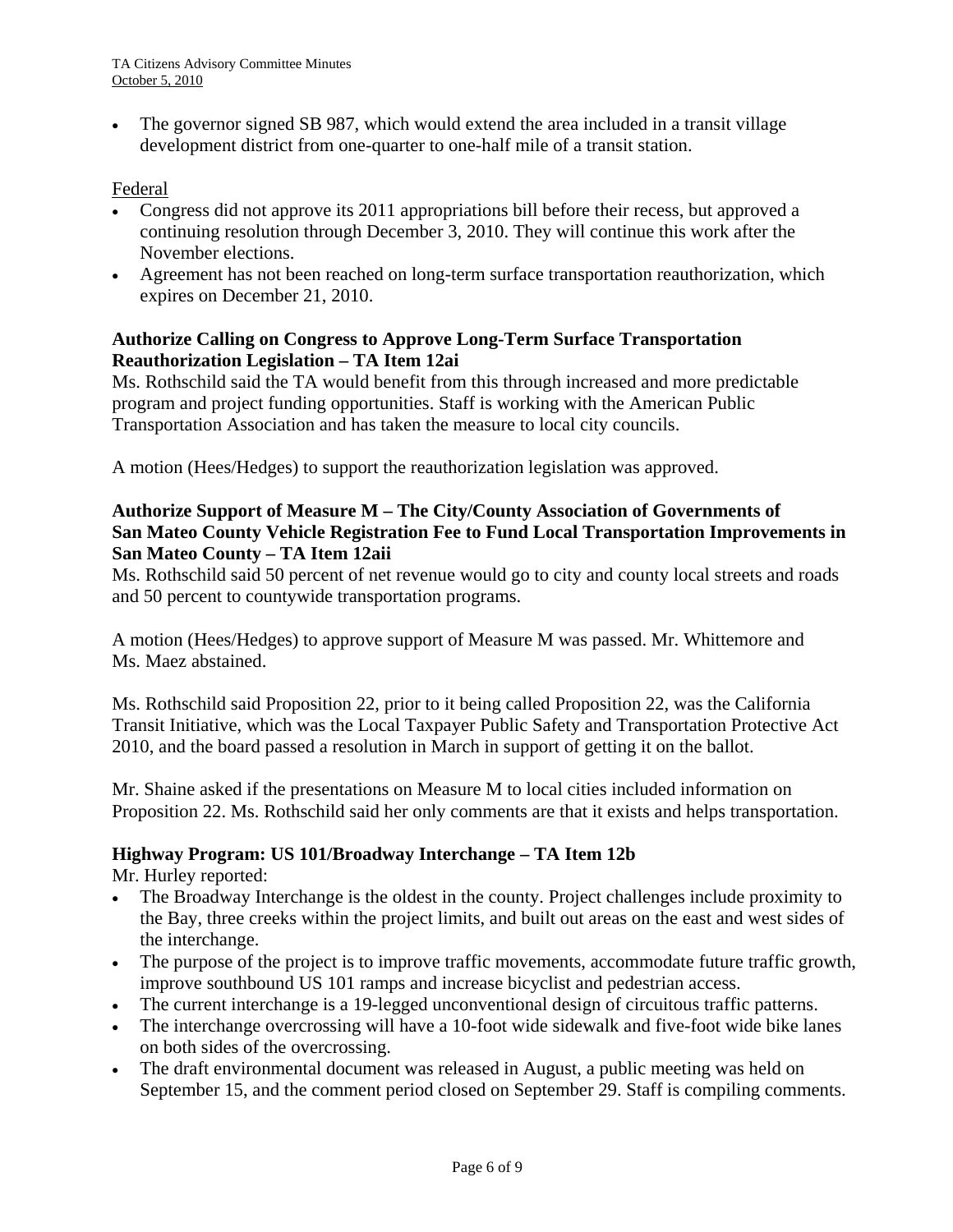The governor signed SB 987, which would extend the area included in a transit village development district from one-quarter to one-half mile of a transit station.

# Federal

- Congress did not approve its 2011 appropriations bill before their recess, but approved a continuing resolution through December 3, 2010. They will continue this work after the November elections.
- Agreement has not been reached on long-term surface transportation reauthorization, which expires on December 21, 2010.

# **Authorize Calling on Congress to Approve Long-Term Surface Transportation Reauthorization Legislation – TA Item 12ai**

Ms. Rothschild said the TA would benefit from this through increased and more predictable program and project funding opportunities. Staff is working with the American Public Transportation Association and has taken the measure to local city councils.

A motion (Hees/Hedges) to support the reauthorization legislation was approved.

# **Authorize Support of Measure M – The City/County Association of Governments of San Mateo County Vehicle Registration Fee to Fund Local Transportation Improvements in San Mateo County – TA Item 12aii**

Ms. Rothschild said 50 percent of net revenue would go to city and county local streets and roads and 50 percent to countywide transportation programs.

A motion (Hees/Hedges) to approve support of Measure M was passed. Mr. Whittemore and Ms. Maez abstained.

Ms. Rothschild said Proposition 22, prior to it being called Proposition 22, was the California Transit Initiative, which was the Local Taxpayer Public Safety and Transportation Protective Act 2010, and the board passed a resolution in March in support of getting it on the ballot.

Mr. Shaine asked if the presentations on Measure M to local cities included information on Proposition 22. Ms. Rothschild said her only comments are that it exists and helps transportation.

# **Highway Program: US 101/Broadway Interchange – TA Item 12b**

Mr. Hurley reported:

- The Broadway Interchange is the oldest in the county. Project challenges include proximity to the Bay, three creeks within the project limits, and built out areas on the east and west sides of the interchange.
- The purpose of the project is to improve traffic movements, accommodate future traffic growth, improve southbound US 101 ramps and increase bicyclist and pedestrian access.
- The current interchange is a 19-legged unconventional design of circuitous traffic patterns.
- The interchange overcrossing will have a 10-foot wide sidewalk and five-foot wide bike lanes on both sides of the overcrossing.
- The draft environmental document was released in August, a public meeting was held on September 15, and the comment period closed on September 29. Staff is compiling comments.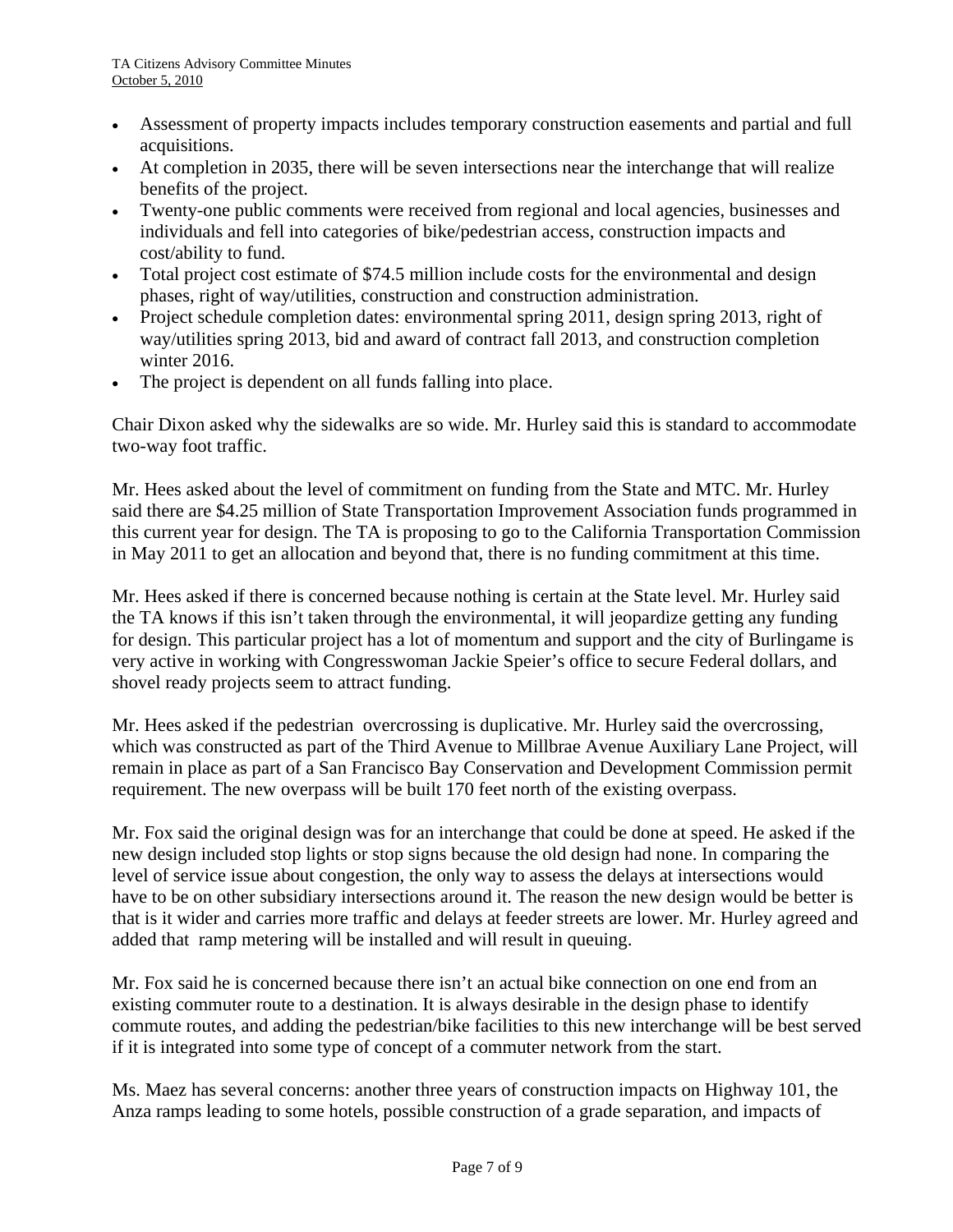- Assessment of property impacts includes temporary construction easements and partial and full acquisitions.
- At completion in 2035, there will be seven intersections near the interchange that will realize benefits of the project.
- Twenty-one public comments were received from regional and local agencies, businesses and individuals and fell into categories of bike/pedestrian access, construction impacts and cost/ability to fund.
- Total project cost estimate of \$74.5 million include costs for the environmental and design phases, right of way/utilities, construction and construction administration.
- Project schedule completion dates: environmental spring 2011, design spring 2013, right of way/utilities spring 2013, bid and award of contract fall 2013, and construction completion winter 2016.
- The project is dependent on all funds falling into place.

Chair Dixon asked why the sidewalks are so wide. Mr. Hurley said this is standard to accommodate two-way foot traffic.

Mr. Hees asked about the level of commitment on funding from the State and MTC. Mr. Hurley said there are \$4.25 million of State Transportation Improvement Association funds programmed in this current year for design. The TA is proposing to go to the California Transportation Commission in May 2011 to get an allocation and beyond that, there is no funding commitment at this time.

Mr. Hees asked if there is concerned because nothing is certain at the State level. Mr. Hurley said the TA knows if this isn't taken through the environmental, it will jeopardize getting any funding for design. This particular project has a lot of momentum and support and the city of Burlingame is very active in working with Congresswoman Jackie Speier's office to secure Federal dollars, and shovel ready projects seem to attract funding.

Mr. Hees asked if the pedestrian overcrossing is duplicative. Mr. Hurley said the overcrossing, which was constructed as part of the Third Avenue to Millbrae Avenue Auxiliary Lane Project, will remain in place as part of a San Francisco Bay Conservation and Development Commission permit requirement. The new overpass will be built 170 feet north of the existing overpass.

Mr. Fox said the original design was for an interchange that could be done at speed. He asked if the new design included stop lights or stop signs because the old design had none. In comparing the level of service issue about congestion, the only way to assess the delays at intersections would have to be on other subsidiary intersections around it. The reason the new design would be better is that is it wider and carries more traffic and delays at feeder streets are lower. Mr. Hurley agreed and added that ramp metering will be installed and will result in queuing.

Mr. Fox said he is concerned because there isn't an actual bike connection on one end from an existing commuter route to a destination. It is always desirable in the design phase to identify commute routes, and adding the pedestrian/bike facilities to this new interchange will be best served if it is integrated into some type of concept of a commuter network from the start.

Ms. Maez has several concerns: another three years of construction impacts on Highway 101, the Anza ramps leading to some hotels, possible construction of a grade separation, and impacts of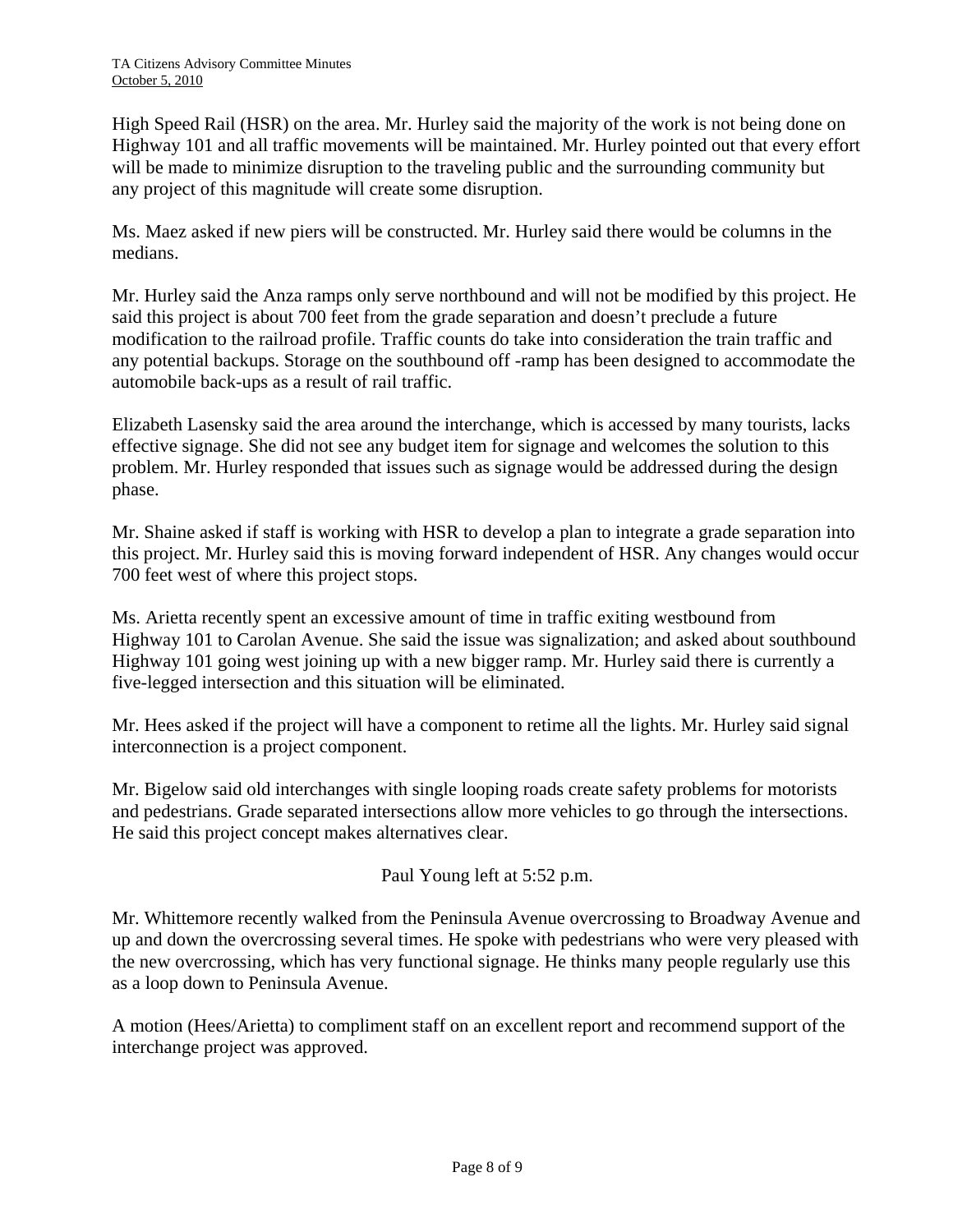High Speed Rail (HSR) on the area. Mr. Hurley said the majority of the work is not being done on Highway 101 and all traffic movements will be maintained. Mr. Hurley pointed out that every effort will be made to minimize disruption to the traveling public and the surrounding community but any project of this magnitude will create some disruption.

Ms. Maez asked if new piers will be constructed. Mr. Hurley said there would be columns in the medians.

Mr. Hurley said the Anza ramps only serve northbound and will not be modified by this project. He said this project is about 700 feet from the grade separation and doesn't preclude a future modification to the railroad profile. Traffic counts do take into consideration the train traffic and any potential backups. Storage on the southbound off -ramp has been designed to accommodate the automobile back-ups as a result of rail traffic.

Elizabeth Lasensky said the area around the interchange, which is accessed by many tourists, lacks effective signage. She did not see any budget item for signage and welcomes the solution to this problem. Mr. Hurley responded that issues such as signage would be addressed during the design phase.

Mr. Shaine asked if staff is working with HSR to develop a plan to integrate a grade separation into this project. Mr. Hurley said this is moving forward independent of HSR. Any changes would occur 700 feet west of where this project stops.

Ms. Arietta recently spent an excessive amount of time in traffic exiting westbound from Highway 101 to Carolan Avenue. She said the issue was signalization; and asked about southbound Highway 101 going west joining up with a new bigger ramp. Mr. Hurley said there is currently a five-legged intersection and this situation will be eliminated.

Mr. Hees asked if the project will have a component to retime all the lights. Mr. Hurley said signal interconnection is a project component.

Mr. Bigelow said old interchanges with single looping roads create safety problems for motorists and pedestrians. Grade separated intersections allow more vehicles to go through the intersections. He said this project concept makes alternatives clear.

Paul Young left at 5:52 p.m.

Mr. Whittemore recently walked from the Peninsula Avenue overcrossing to Broadway Avenue and up and down the overcrossing several times. He spoke with pedestrians who were very pleased with the new overcrossing, which has very functional signage. He thinks many people regularly use this as a loop down to Peninsula Avenue.

A motion (Hees/Arietta) to compliment staff on an excellent report and recommend support of the interchange project was approved.